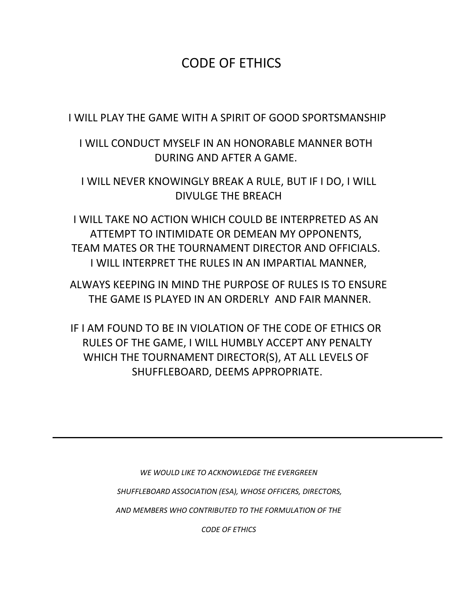# CODE OF ETHICS

I WILL PLAY THE GAME WITH A SPIRIT OF GOOD SPORTSMANSHIP

I WILL CONDUCT MYSELF IN AN HONORABLE MANNER BOTH DURING AND AFTER A GAME.

I WILL NEVER KNOWINGLY BREAK A RULE, BUT IF I DO, I WILL DIVULGE THE BREACH

I WILL TAKE NO ACTION WHICH COULD BE INTERPRETED AS AN ATTEMPT TO INTIMIDATE OR DEMEAN MY OPPONENTS, TEAM MATES OR THE TOURNAMENT DIRECTOR AND OFFICIALS. I WILL INTERPRET THE RULES IN AN IMPARTIAL MANNER,

ALWAYS KEEPING IN MIND THE PURPOSE OF RULES IS TO ENSURE THE GAME IS PLAYED IN AN ORDERLY AND FAIR MANNER.

IF I AM FOUND TO BE IN VIOLATION OF THE CODE OF ETHICS OR RULES OF THE GAME, I WILL HUMBLY ACCEPT ANY PENALTY WHICH THE TOURNAMENT DIRECTOR(S), AT ALL LEVELS OF SHUFFLEBOARD, DEEMS APPROPRIATE.

> *WE WOULD LIKE TO ACKNOWLEDGE THE EVERGREEN SHUFFLEBOARD ASSOCIATION (ESA), WHOSE OFFICERS, DIRECTORS, AND MEMBERS WHO CONTRIBUTED TO THE FORMULATION OF THE*

> > *CODE OF ETHICS*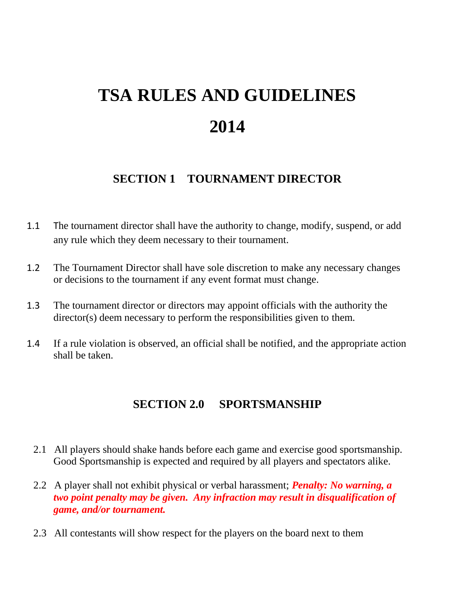# **TSA RULES AND GUIDELINES 2014**

#### **SECTION 1 TOURNAMENT DIRECTOR**

- 1.1 The tournament director shall have the authority to change, modify, suspend, or add any rule which they deem necessary to their tournament.
- 1.2 The Tournament Director shall have sole discretion to make any necessary changes or decisions to the tournament if any event format must change.
- 1.3 The tournament director or directors may appoint officials with the authority the director(s) deem necessary to perform the responsibilities given to them.
- 1.4 If a rule violation is observed, an official shall be notified, and the appropriate action shall be taken.

#### **SECTION 2.0 SPORTSMANSHIP**

- 2.1 All players should shake hands before each game and exercise good sportsmanship. Good Sportsmanship is expected and required by all players and spectators alike.
- 2.2 A player shall not exhibit physical or verbal harassment; *Penalty: No warning, a two point penalty may be given. Any infraction may result in disqualification of game, and/or tournament.*
- 2.3 All contestants will show respect for the players on the board next to them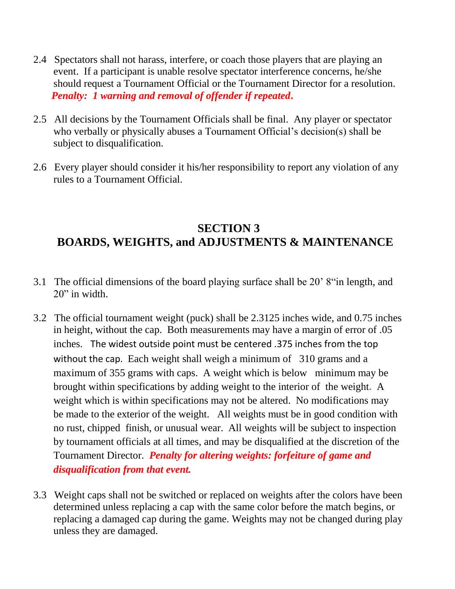- 2.4 Spectators shall not harass, interfere, or coach those players that are playing an event. If a participant is unable resolve spectator interference concerns, he/she should request a Tournament Official or the Tournament Director for a resolution. *Penalty: 1 warning and removal of offender if repeated***.**
- 2.5 All decisions by the Tournament Officials shall be final. Any player or spectator who verbally or physically abuses a Tournament Official's decision(s) shall be subject to disqualification.
- 2.6 Every player should consider it his/her responsibility to report any violation of any rules to a Tournament Official.

## **SECTION 3 BOARDS, WEIGHTS, and ADJUSTMENTS & MAINTENANCE**

- 3.1 The official dimensions of the board playing surface shall be 20' 8"in length, and 20" in width.
- 3.2 The official tournament weight (puck) shall be 2.3125 inches wide, and 0.75 inches in height, without the cap. Both measurements may have a margin of error of .05 inches. The widest outside point must be centered .375 inches from the top without the cap. Each weight shall weigh a minimum of 310 grams and a maximum of 355 grams with caps. A weight which is below minimum may be brought within specifications by adding weight to the interior of the weight**.** A weight which is within specifications may not be altered. No modifications may be made to the exterior of the weight. All weights must be in good condition with no rust, chipped finish, or unusual wear. All weights will be subject to inspection by tournament officials at all times, and may be disqualified at the discretion of the Tournament Director. *Penalty for altering weights: forfeiture of game and disqualification from that event.*
- 3.3 Weight caps shall not be switched or replaced on weights after the colors have been determined unless replacing a cap with the same color before the match begins, or replacing a damaged cap during the game. Weights may not be changed during play unless they are damaged.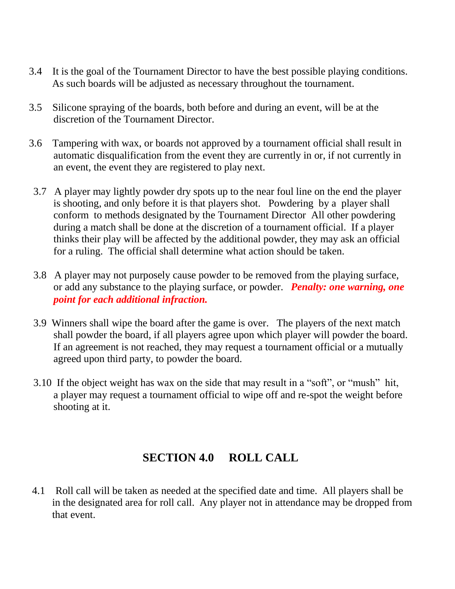- 3.4 It is the goal of the Tournament Director to have the best possible playing conditions. As such boards will be adjusted as necessary throughout the tournament.
- 3.5 Silicone spraying of the boards, both before and during an event, will be at the discretion of the Tournament Director.
- 3.6 Tampering with wax, or boards not approved by a tournament official shall result in automatic disqualification from the event they are currently in or, if not currently in an event, the event they are registered to play next.
- 3.7 A player may lightly powder dry spots up to the near foul line on the end the player is shooting, and only before it is that players shot. Powdering by a player shall conform to methods designated by the Tournament Director All other powdering during a match shall be done at the discretion of a tournament official. If a player thinks their play will be affected by the additional powder, they may ask an official for a ruling. The official shall determine what action should be taken.
- 3.8 A player may not purposely cause powder to be removed from the playing surface, or add any substance to the playing surface, or powder. *Penalty: one warning, one point for each additional infraction.*
- 3.9 Winners shall wipe the board after the game is over. The players of the next match shall powder the board, if all players agree upon which player will powder the board. If an agreement is not reached, they may request a tournament official or a mutually agreed upon third party, to powder the board.
- 3.10 If the object weight has wax on the side that may result in a "soft", or "mush" hit, a player may request a tournament official to wipe off and re-spot the weight before shooting at it.

## **SECTION 4.0 ROLL CALL**

4.1 Roll call will be taken as needed at the specified date and time. All players shall be in the designated area for roll call. Any player not in attendance may be dropped from that event.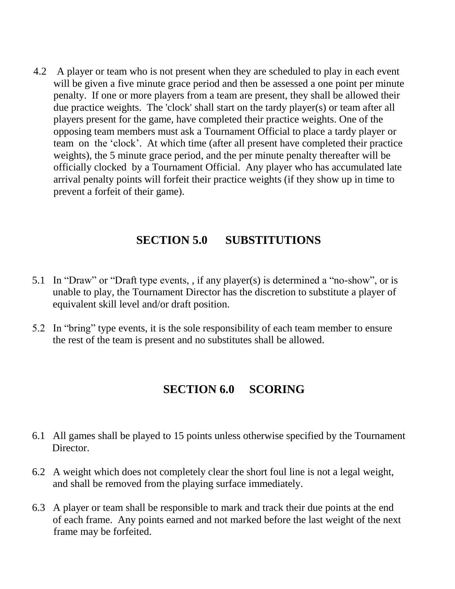4.2 A player or team who is not present when they are scheduled to play in each event will be given a five minute grace period and then be assessed a one point per minute penalty. If one or more players from a team are present, they shall be allowed their due practice weights. The 'clock' shall start on the tardy player(s) or team after all players present for the game, have completed their practice weights. One of the opposing team members must ask a Tournament Official to place a tardy player or team on the 'clock'. At which time (after all present have completed their practice weights), the 5 minute grace period, and the per minute penalty thereafter will be officially clocked by a Tournament Official. Any player who has accumulated late arrival penalty points will forfeit their practice weights (if they show up in time to prevent a forfeit of their game).

#### **SECTION 5.0 SUBSTITUTIONS**

- 5.1 In "Draw" or "Draft type events, , if any player(s) is determined a "no-show", or is unable to play, the Tournament Director has the discretion to substitute a player of equivalent skill level and/or draft position.
- 5.2 In "bring" type events, it is the sole responsibility of each team member to ensure the rest of the team is present and no substitutes shall be allowed.

## **SECTION 6.0 SCORING**

- 6.1 All games shall be played to 15 points unless otherwise specified by the Tournament Director.
- 6.2 A weight which does not completely clear the short foul line is not a legal weight, and shall be removed from the playing surface immediately.
- 6.3 A player or team shall be responsible to mark and track their due points at the end of each frame. Any points earned and not marked before the last weight of the next frame may be forfeited.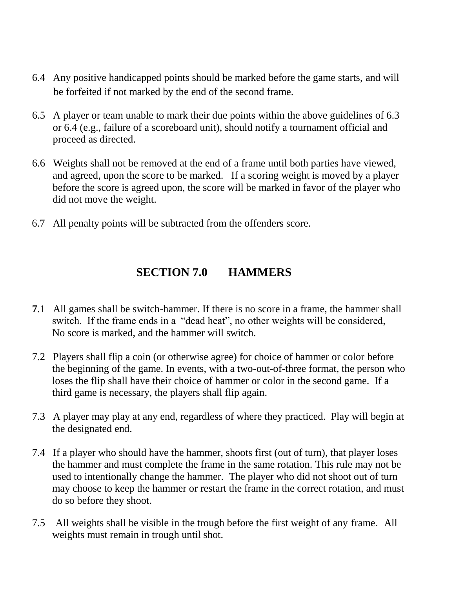- 6.4 Any positive handicapped points should be marked before the game starts, and will be forfeited if not marked by the end of the second frame.
- 6.5 A player or team unable to mark their due points within the above guidelines of 6.3 or 6.4 (e.g., failure of a scoreboard unit), should notify a tournament official and proceed as directed.
- 6.6 Weights shall not be removed at the end of a frame until both parties have viewed, and agreed, upon the score to be marked. If a scoring weight is moved by a player before the score is agreed upon, the score will be marked in favor of the player who did not move the weight.
- 6.7 All penalty points will be subtracted from the offenders score.

#### **SECTION 7.0 HAMMERS**

- **7**.1All games shall be switch-hammer. If there is no score in a frame, the hammer shall switch. If the frame ends in a "dead heat", no other weights will be considered, No score is marked, and the hammer will switch.
- 7.2 Players shall flip a coin (or otherwise agree) for choice of hammer or color before the beginning of the game. In events, with a two-out-of-three format, the person who loses the flip shall have their choice of hammer or color in the second game. If a third game is necessary, the players shall flip again.
- 7.3 A player may play at any end, regardless of where they practiced. Play will begin at the designated end.
- 7.4 If a player who should have the hammer, shoots first (out of turn), that player loses the hammer and must complete the frame in the same rotation. This rule may not be used to intentionally change the hammer. The player who did not shoot out of turn may choose to keep the hammer or restart the frame in the correct rotation, and must do so before they shoot.
- 7.5 All weights shall be visible in the trough before the first weight of any frame. All weights must remain in trough until shot.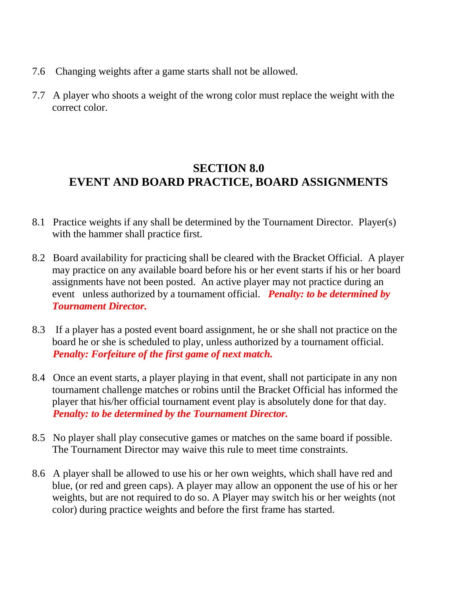- 7.6 Changing weights after a game starts shall not be allowed.
- 7.7 A player who shoots a weight of the wrong color must replace the weight with the correct color.

### **SECTION 8.0 EVENT AND BOARD PRACTICE, BOARD ASSIGNMENTS**

- 8.1 Practice weights if any shall be determined by the Tournament Director. Player(s) with the hammer shall practice first.
- 8.2 Board availability for practicing shall be cleared with the Bracket Official. A player may practice on any available board before his or her event starts if his or her board assignments have not been posted. An active player may not practice during an event unless authorized by a tournament official. *Penalty: to be determined by Tournament Director.*
- 8.3 If a player has a posted event board assignment, he or she shall not practice on the board he or she is scheduled to play, unless authorized by a tournament official. *Penalty: Forfeiture of the first game of next match.*
- 8.4 Once an event starts, a player playing in that event, shall not participate in any non tournament challenge matches or robins until the Bracket Official has informed the player that his/her official tournament event play is absolutely done for that day.  *Penalty: to be determined by the Tournament Director.*
- 8.5 No player shall play consecutive games or matches on the same board if possible. The Tournament Director may waive this rule to meet time constraints.
- 8.6 A player shall be allowed to use his or her own weights, which shall have red and blue, (or red and green caps). A player may allow an opponent the use of his or her weights, but are not required to do so. A Player may switch his or her weights (not color) during practice weights and before the first frame has started.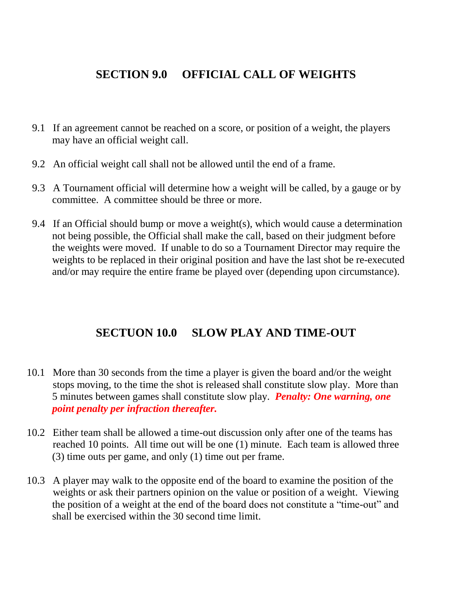#### **SECTION 9.0 OFFICIAL CALL OF WEIGHTS**

- 9.1 If an agreement cannot be reached on a score, or position of a weight, the players may have an official weight call.
- 9.2 An official weight call shall not be allowed until the end of a frame.
- 9.3 A Tournament official will determine how a weight will be called, by a gauge or by committee. A committee should be three or more.
- 9.4 If an Official should bump or move a weight(s), which would cause a determination not being possible, the Official shall make the call, based on their judgment before the weights were moved. If unable to do so a Tournament Director may require the weights to be replaced in their original position and have the last shot be re-executed and/or may require the entire frame be played over (depending upon circumstance).

#### **SECTUON 10.0 SLOW PLAY AND TIME-OUT**

- 10.1 More than 30 seconds from the time a player is given the board and/or the weight stops moving, to the time the shot is released shall constitute slow play. More than 5 minutes between games shall constitute slow play. *Penalty: One warning, one point penalty per infraction thereafter.*
- 10.2 Either team shall be allowed a time-out discussion only after one of the teams has reached 10 points. All time out will be one (1) minute. Each team is allowed three (3) time outs per game, and only (1) time out per frame.
- 10.3 A player may walk to the opposite end of the board to examine the position of the weights or ask their partners opinion on the value or position of a weight. Viewing the position of a weight at the end of the board does not constitute a "time-out" and shall be exercised within the 30 second time limit.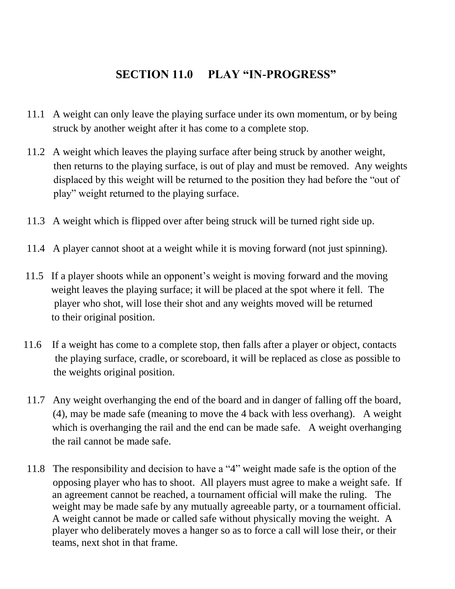## **SECTION 11.0 PLAY "IN-PROGRESS"**

- 11.1 A weight can only leave the playing surface under its own momentum, or by being struck by another weight after it has come to a complete stop.
- 11.2 A weight which leaves the playing surface after being struck by another weight, then returns to the playing surface, is out of play and must be removed. Any weights displaced by this weight will be returned to the position they had before the "out of play" weight returned to the playing surface.
- 11.3 A weight which is flipped over after being struck will be turned right side up.
- 11.4 A player cannot shoot at a weight while it is moving forward (not just spinning).
- 11.5 If a player shoots while an opponent's weight is moving forward and the moving weight leaves the playing surface; it will be placed at the spot where it fell. The player who shot, will lose their shot and any weights moved will be returned to their original position.
- 11.6 If a weight has come to a complete stop, then falls after a player or object, contacts the playing surface, cradle, or scoreboard, it will be replaced as close as possible to the weights original position.
- 11.7 Any weight overhanging the end of the board and in danger of falling off the board, (4), may be made safe (meaning to move the 4 back with less overhang). A weight which is overhanging the rail and the end can be made safe. A weight overhanging the rail cannot be made safe.
- 11.8 The responsibility and decision to have a "4" weight made safe is the option of the opposing player who has to shoot. All players must agree to make a weight safe. If an agreement cannot be reached, a tournament official will make the ruling. The weight may be made safe by any mutually agreeable party, or a tournament official. A weight cannot be made or called safe without physically moving the weight. A player who deliberately moves a hanger so as to force a call will lose their, or their teams, next shot in that frame.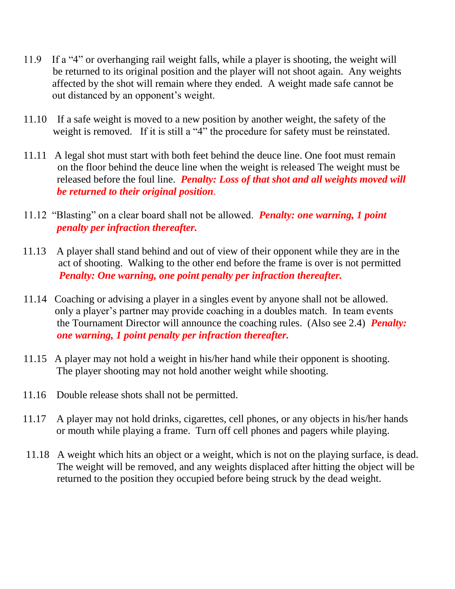- 11.9 If a "4" or overhanging rail weight falls, while a player is shooting, the weight will be returned to its original position and the player will not shoot again. Any weights affected by the shot will remain where they ended. A weight made safe cannot be out distanced by an opponent's weight.
- 11.10 If a safe weight is moved to a new position by another weight, the safety of the weight is removed. If it is still a "4" the procedure for safety must be reinstated.
- 11.11 A legal shot must start with both feet behind the deuce line. One foot must remain on the floor behind the deuce line when the weight is released The weight must be released before the foul line. *Penalty: Loss of that shot and all weights moved will be returned to their original position*.
- 11.12 "Blasting" on a clear board shall not be allowed. *Penalty: one warning, 1 point penalty per infraction thereafter.*
- 11.13 A player shall stand behind and out of view of their opponent while they are in the act of shooting. Walking to the other end before the frame is over is not permitted *Penalty: One warning, one point penalty per infraction thereafter.*
- 11.14 Coaching or advising a player in a singles event by anyone shall not be allowed. only a player's partner may provide coaching in a doubles match. In team events the Tournament Director will announce the coaching rules. (Also see 2.4) *Penalty: one warning, 1 point penalty per infraction thereafter.*
- 11.15 A player may not hold a weight in his/her hand while their opponent is shooting. The player shooting may not hold another weight while shooting.
- 11.16 Double release shots shall not be permitted.
- 11.17 A player may not hold drinks, cigarettes, cell phones, or any objects in his/her hands or mouth while playing a frame. Turn off cell phones and pagers while playing.
- 11.18 A weight which hits an object or a weight, which is not on the playing surface, is dead. The weight will be removed, and any weights displaced after hitting the object will be returned to the position they occupied before being struck by the dead weight.